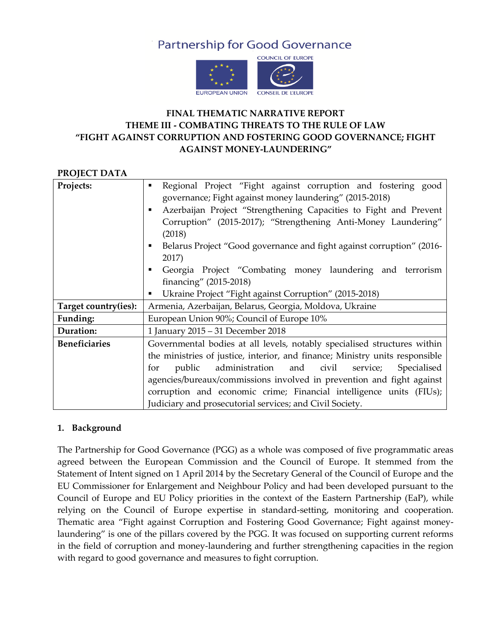# **Partnership for Good Governance**



# **FINAL THEMATIC NARRATIVE REPORT THEME III - COMBATING THREATS TO THE RULE OF LAW "FIGHT AGAINST CORRUPTION AND FOSTERING GOOD GOVERNANCE; FIGHT AGAINST MONEY-LAUNDERING"**

| PROJECT DATA         |                                                                                                                                                                                                                                                                                                                                                                                                                                                                                                                                       |
|----------------------|---------------------------------------------------------------------------------------------------------------------------------------------------------------------------------------------------------------------------------------------------------------------------------------------------------------------------------------------------------------------------------------------------------------------------------------------------------------------------------------------------------------------------------------|
| Projects:            | Regional Project "Fight against corruption and fostering good<br>٠<br>governance; Fight against money laundering" (2015-2018)<br>Azerbaijan Project "Strengthening Capacities to Fight and Prevent<br>٠<br>Corruption" (2015-2017); "Strengthening Anti-Money Laundering"<br>(2018)<br>Belarus Project "Good governance and fight against corruption" (2016-<br>٠<br>2017)<br>Georgia Project "Combating money laundering and terrorism<br>٠<br>financing" (2015-2018)<br>Ukraine Project "Fight against Corruption" (2015-2018)<br>٠ |
| Target country(ies): | Armenia, Azerbaijan, Belarus, Georgia, Moldova, Ukraine                                                                                                                                                                                                                                                                                                                                                                                                                                                                               |
| Funding:             | European Union 90%; Council of Europe 10%                                                                                                                                                                                                                                                                                                                                                                                                                                                                                             |
| Duration:            | 1 January 2015 - 31 December 2018                                                                                                                                                                                                                                                                                                                                                                                                                                                                                                     |
| <b>Beneficiaries</b> | Governmental bodies at all levels, notably specialised structures within                                                                                                                                                                                                                                                                                                                                                                                                                                                              |
|                      | the ministries of justice, interior, and finance; Ministry units responsible                                                                                                                                                                                                                                                                                                                                                                                                                                                          |
|                      | administration and civil service;<br>for<br>public<br>Specialised                                                                                                                                                                                                                                                                                                                                                                                                                                                                     |
|                      | agencies/bureaux/commissions involved in prevention and fight against                                                                                                                                                                                                                                                                                                                                                                                                                                                                 |
|                      | corruption and economic crime; Financial intelligence units (FIUs);                                                                                                                                                                                                                                                                                                                                                                                                                                                                   |
|                      | Judiciary and prosecutorial services; and Civil Society.                                                                                                                                                                                                                                                                                                                                                                                                                                                                              |

#### **1. Background**

The Partnership for Good Governance (PGG) as a whole was composed of five programmatic areas agreed between the European Commission and the Council of Europe. It stemmed from the Statement of Intent signed on 1 April 2014 by the Secretary General of the Council of Europe and the EU Commissioner for Enlargement and Neighbour Policy and had been developed pursuant to the Council of Europe and EU Policy priorities in the context of the Eastern Partnership (EaP), while relying on the Council of Europe expertise in standard-setting, monitoring and cooperation. Thematic area "Fight against Corruption and Fostering Good Governance; Fight against moneylaundering" is one of the pillars covered by the PGG. It was focused on supporting current reforms in the field of corruption and money-laundering and further strengthening capacities in the region with regard to good governance and measures to fight corruption.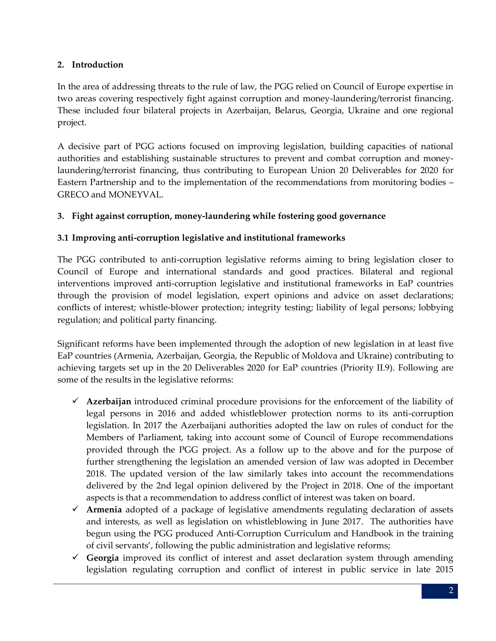## **2. Introduction**

In the area of addressing threats to the rule of law, the PGG relied on Council of Europe expertise in two areas covering respectively fight against corruption and money-laundering/terrorist financing. These included four bilateral projects in Azerbaijan, Belarus, Georgia, Ukraine and one regional project.

A decisive part of PGG actions focused on improving legislation, building capacities of national authorities and establishing sustainable structures to prevent and combat corruption and moneylaundering/terrorist financing, thus contributing to European Union 20 Deliverables for 2020 for Eastern Partnership and to the implementation of the recommendations from monitoring bodies – GRECO and MONEYVAL.

### **3. Fight against corruption, money-laundering while fostering good governance**

### **3.1 Improving anti-corruption legislative and institutional frameworks**

The PGG contributed to anti-corruption legislative reforms aiming to bring legislation closer to Council of Europe and international standards and good practices. Bilateral and regional interventions improved anti-corruption legislative and institutional frameworks in EaP countries through the provision of model legislation, expert opinions and advice on asset declarations; conflicts of interest; whistle-blower protection; integrity testing; liability of legal persons; lobbying regulation; and political party financing.

Significant reforms have been implemented through the adoption of new legislation in at least five EaP countries (Armenia, Azerbaijan, Georgia, the Republic of Moldova and Ukraine) contributing to achieving targets set up in the 20 Deliverables 2020 for EaP countries (Priority II.9). Following are some of the results in the legislative reforms:

- **Azerbaijan** introduced criminal procedure provisions for the enforcement of the liability of legal persons in 2016 and added whistleblower protection norms to its anti-corruption legislation. In 2017 the Azerbaijani authorities adopted the law on rules of conduct for the Members of Parliament, taking into account some of Council of Europe recommendations provided through the PGG project. As a follow up to the above and for the purpose of further strengthening the legislation an amended version of law was adopted in December 2018. The updated version of the law similarly takes into account the recommendations delivered by the 2nd legal opinion delivered by the Project in 2018. One of the important aspects is that a recommendation to address conflict of interest was taken on board.
- **Armenia** adopted of a package of legislative amendments regulating declaration of assets and interests, as well as legislation on whistleblowing in June 2017. The authorities have begun using the PGG produced Anti-Corruption Curriculum and Handbook in the training of civil servants', following the public administration and legislative reforms;
- **Georgia** improved its conflict of interest and asset declaration system through amending legislation regulating corruption and conflict of interest in public service in late 2015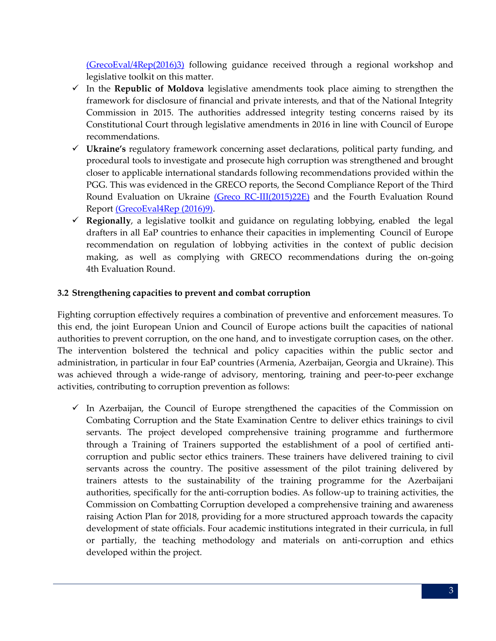[\(GrecoEval/4Rep\(2016\)3\)](https://rm.coe.int/16806dc116) following guidance received through a regional workshop and legislative toolkit on this matter.

- $\checkmark$  In the **Republic of Moldova** legislative amendments took place aiming to strengthen the framework for disclosure of financial and private interests, and that of the National Integrity Commission in 2015. The authorities addressed integrity testing concerns raised by its Constitutional Court through legislative amendments in 2016 in line with Council of Europe recommendations.
- **Ukraine's** regulatory framework concerning asset declarations, political party funding, and procedural tools to investigate and prosecute high corruption was strengthened and brought closer to applicable international standards following recommendations provided within the PGG. This was evidenced in the GRECO reports, the Second Compliance Report of the Third Round Evaluation on Ukraine [\(Greco RC-III\(2015\)22E\)](https://rm.coe.int/16806ca329) and the Fourth Evaluation Round Report [\(GrecoEval4Rep \(2016\)9\).](https://rm.coe.int/grecoeval4rep-2016-9-fourth-evaluation-round-corruption-prevention-in-/1680737207)
- **Regionally**, a legislative toolkit and guidance on regulating lobbying, enabled the legal drafters in all EaP countries to enhance their capacities in implementing Council of Europe recommendation on regulation of lobbying activities in the context of public decision making, as well as complying with GRECO recommendations during the on-going 4th Evaluation Round.

#### **3.2 Strengthening capacities to prevent and combat corruption**

Fighting corruption effectively requires a combination of preventive and enforcement measures. To this end, the joint European Union and Council of Europe actions built the capacities of national authorities to prevent corruption, on the one hand, and to investigate corruption cases, on the other. The intervention bolstered the technical and policy capacities within the public sector and administration, in particular in four EaP countries (Armenia, Azerbaijan, Georgia and Ukraine). This was achieved through a wide-range of advisory, mentoring, training and peer-to-peer exchange activities, contributing to corruption prevention as follows:

 $\checkmark$  In Azerbaijan, the Council of Europe strengthened the capacities of the Commission on Combating Corruption and the State Examination Centre to deliver ethics trainings to civil servants. The project developed comprehensive training programme and furthermore through a Training of Trainers supported the establishment of a pool of certified anticorruption and public sector ethics trainers. These trainers have delivered training to civil servants across the country. The positive assessment of the pilot training delivered by trainers attests to the sustainability of the training programme for the Azerbaijani authorities, specifically for the anti-corruption bodies. As follow-up to training activities, the Commission on Combatting Corruption developed a comprehensive training and awareness raising Action Plan for 2018, providing for a more structured approach towards the capacity development of state officials. Four academic institutions integrated in their curricula, in full or partially, the teaching methodology and materials on anti-corruption and ethics developed within the project.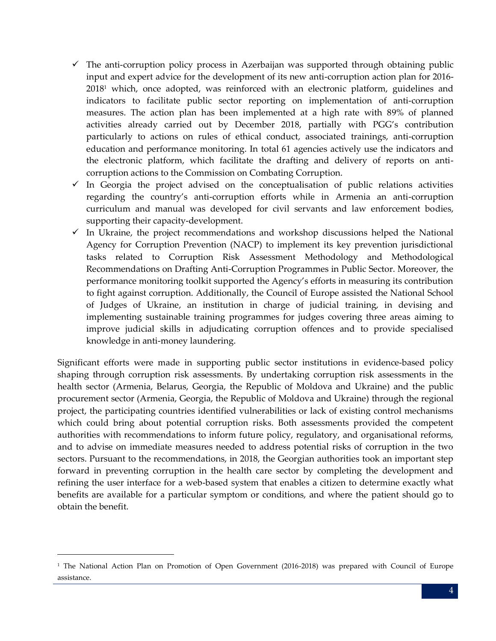- $\checkmark$  The anti-corruption policy process in Azerbaijan was supported through obtaining public input and expert advice for the development of its new anti-corruption action plan for 2016- 2018<sup>1</sup> which, once adopted, was reinforced with an electronic platform, guidelines and indicators to facilitate public sector reporting on implementation of anti-corruption measures. The action plan has been implemented at a high rate with 89% of planned activities already carried out by December 2018, partially with PGG's contribution particularly to actions on rules of ethical conduct, associated trainings, anti-corruption education and performance monitoring. In total 61 agencies actively use the indicators and the electronic platform, which facilitate the drafting and delivery of reports on anticorruption actions to the Commission on Combating Corruption.
- $\checkmark$  In Georgia the project advised on the conceptualisation of public relations activities regarding the country's anti-corruption efforts while in Armenia an anti-corruption curriculum and manual was developed for civil servants and law enforcement bodies, supporting their capacity-development.
- $\checkmark$  In Ukraine, the project recommendations and workshop discussions helped the National Agency for Corruption Prevention (NACP) to implement its key prevention jurisdictional tasks related to Corruption Risk Assessment Methodology and Methodological Recommendations on Drafting Anti-Corruption Programmes in Public Sector. Moreover, the performance monitoring toolkit supported the Agency's efforts in measuring its contribution to fight against corruption. Additionally, the Council of Europe assisted the National School of Judges of Ukraine, an institution in charge of judicial training, in devising and implementing sustainable training programmes for judges covering three areas aiming to improve judicial skills in adjudicating corruption offences and to provide specialised knowledge in anti-money laundering.

Significant efforts were made in supporting public sector institutions in evidence-based policy shaping through corruption risk assessments. By undertaking corruption risk assessments in the health sector (Armenia, Belarus, Georgia, the Republic of Moldova and Ukraine) and the public procurement sector (Armenia, Georgia, the Republic of Moldova and Ukraine) through the regional project, the participating countries identified vulnerabilities or lack of existing control mechanisms which could bring about potential corruption risks. Both assessments provided the competent authorities with recommendations to inform future policy, regulatory, and organisational reforms, and to advise on immediate measures needed to address potential risks of corruption in the two sectors. Pursuant to the recommendations, in 2018, the Georgian authorities took an important step forward in preventing corruption in the health care sector by completing the development and refining the user interface for a web-based system that enables a citizen to determine exactly what benefits are available for a particular symptom or conditions, and where the patient should go to obtain the benefit.

1

<sup>&</sup>lt;sup>1</sup> The National Action Plan on Promotion of Open Government (2016-2018) was prepared with Council of Europe assistance.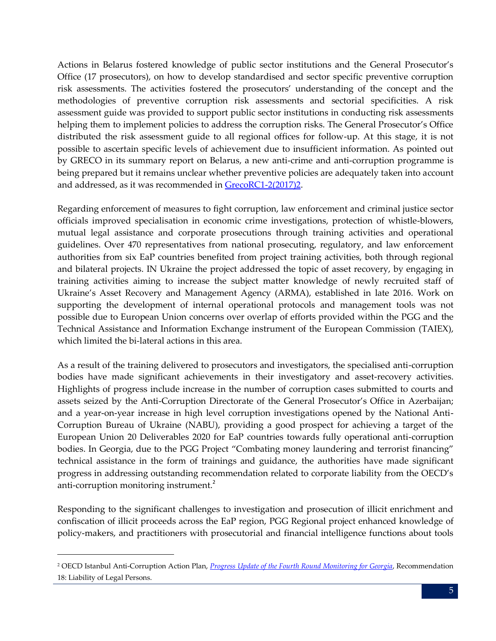Actions in Belarus fostered knowledge of public sector institutions and the General Prosecutor's Office (17 prosecutors), on how to develop standardised and sector specific preventive corruption risk assessments. The activities fostered the prosecutors' understanding of the concept and the methodologies of preventive corruption risk assessments and sectorial specificities. A risk assessment guide was provided to support public sector institutions in conducting risk assessments helping them to implement policies to address the corruption risks. The General Prosecutor's Office distributed the risk assessment guide to all regional offices for follow-up. At this stage, it is not possible to ascertain specific levels of achievement due to insufficient information. As pointed out by GRECO in its summary report on Belarus, a new anti-crime and anti-corruption programme is being prepared but it remains unclear whether preventive policies are adequately taken into account and addressed, as it was recommended in [GrecoRC1-2\(2017\)2.](https://rm.coe.int/joint-first-and-second-rounds-evaluation-summary-of-the-second-interim/168076d532)

Regarding enforcement of measures to fight corruption, law enforcement and criminal justice sector officials improved specialisation in economic crime investigations, protection of whistle-blowers, mutual legal assistance and corporate prosecutions through training activities and operational guidelines. Over 470 representatives from national prosecuting, regulatory, and law enforcement authorities from six EaP countries benefited from project training activities, both through regional and bilateral projects. IN Ukraine the project addressed the topic of asset recovery, by engaging in training activities aiming to increase the subject matter knowledge of newly recruited staff of Ukraine's Asset Recovery and Management Agency (ARMA), established in late 2016. Work on supporting the development of internal operational protocols and management tools was not possible due to European Union concerns over overlap of efforts provided within the PGG and the Technical Assistance and Information Exchange instrument of the European Commission (TAIEX), which limited the bi-lateral actions in this area.

As a result of the training delivered to prosecutors and investigators, the specialised anti-corruption bodies have made significant achievements in their investigatory and asset-recovery activities. Highlights of progress include increase in the number of corruption cases submitted to courts and assets seized by the Anti-Corruption Directorate of the General Prosecutor's Office in Azerbaijan; and a year-on-year increase in high level corruption investigations opened by the National Anti-Corruption Bureau of Ukraine (NABU), providing a good prospect for achieving a target of the European Union 20 Deliverables 2020 for EaP countries towards fully operational anti-corruption bodies. In Georgia, due to the PGG Project "Combating money laundering and terrorist financing" technical assistance in the form of trainings and guidance, the authorities have made significant progress in addressing outstanding recommendation related to corporate liability from the OECD's anti-corruption monitoring instrument.<sup>2</sup>

Responding to the significant challenges to investigation and prosecution of illicit enrichment and confiscation of illicit proceeds across the EaP region, PGG Regional project enhanced knowledge of policy-makers, and practitioners with prosecutorial and financial intelligence functions about tools

1

<sup>2</sup> OECD Istanbul Anti-Corruption Action Plan, *[Progress Update of the Fourth Round Monitoring for Georgia](https://www.oecd.org/corruption/acn/OECD-ACN-Georgia-Progress-Update-September-2017-ENG.pdf)*, Recommendation 18: Liability of Legal Persons.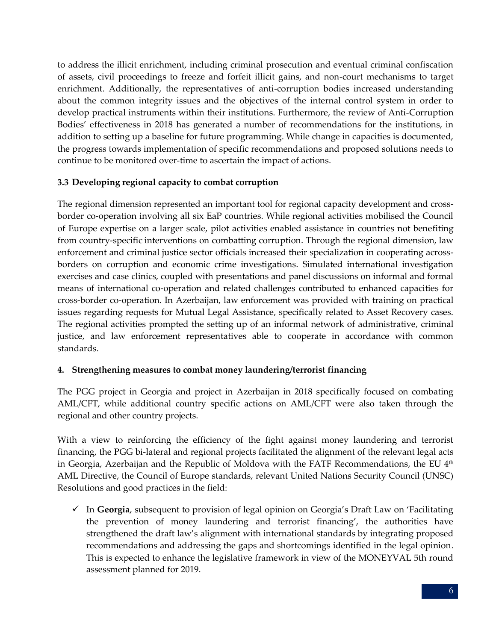to address the illicit enrichment, including criminal prosecution and eventual criminal confiscation of assets, civil proceedings to freeze and forfeit illicit gains, and non-court mechanisms to target enrichment. Additionally, the representatives of anti-corruption bodies increased understanding about the common integrity issues and the objectives of the internal control system in order to develop practical instruments within their institutions. Furthermore, the review of Anti-Corruption Bodies' effectiveness in 2018 has generated a number of recommendations for the institutions, in addition to setting up a baseline for future programming. While change in capacities is documented, the progress towards implementation of specific recommendations and proposed solutions needs to continue to be monitored over-time to ascertain the impact of actions.

# **3.3 Developing regional capacity to combat corruption**

The regional dimension represented an important tool for regional capacity development and crossborder co-operation involving all six EaP countries. While regional activities mobilised the Council of Europe expertise on a larger scale, pilot activities enabled assistance in countries not benefiting from country-specific interventions on combatting corruption. Through the regional dimension, law enforcement and criminal justice sector officials increased their specialization in cooperating acrossborders on corruption and economic crime investigations. Simulated international investigation exercises and case clinics, coupled with presentations and panel discussions on informal and formal means of international co-operation and related challenges contributed to enhanced capacities for cross-border co-operation. In Azerbaijan, law enforcement was provided with training on practical issues regarding requests for Mutual Legal Assistance, specifically related to Asset Recovery cases. The regional activities prompted the setting up of an informal network of administrative, criminal justice, and law enforcement representatives able to cooperate in accordance with common standards.

#### **4. Strengthening measures to combat money laundering/terrorist financing**

The PGG project in Georgia and project in Azerbaijan in 2018 specifically focused on combating AML/CFT, while additional country specific actions on AML/CFT were also taken through the regional and other country projects.

With a view to reinforcing the efficiency of the fight against money laundering and terrorist financing, the PGG bi-lateral and regional projects facilitated the alignment of the relevant legal acts in Georgia, Azerbaijan and the Republic of Moldova with the FATF Recommendations, the EU  $4<sup>th</sup>$ AML Directive, the Council of Europe standards, relevant United Nations Security Council (UNSC) Resolutions and good practices in the field:

 $\checkmark$  In **Georgia**, subsequent to provision of legal opinion on Georgia's Draft Law on 'Facilitating the prevention of money laundering and terrorist financing', the authorities have strengthened the draft law's alignment with international standards by integrating proposed recommendations and addressing the gaps and shortcomings identified in the legal opinion. This is expected to enhance the legislative framework in view of the MONEYVAL 5th round assessment planned for 2019.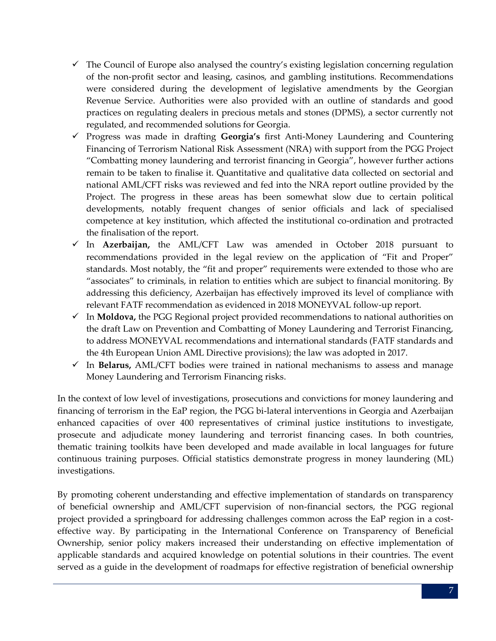- $\checkmark$  The Council of Europe also analysed the country's existing legislation concerning regulation of the non-profit sector and leasing, casinos, and gambling institutions. Recommendations were considered during the development of legislative amendments by the Georgian Revenue Service. Authorities were also provided with an outline of standards and good practices on regulating dealers in precious metals and stones (DPMS), a sector currently not regulated, and recommended solutions for Georgia.
- Progress was made in drafting **Georgia's** first Anti-Money Laundering and Countering Financing of Terrorism National Risk Assessment (NRA) with support from the PGG Project "Combatting money laundering and terrorist financing in Georgia", however further actions remain to be taken to finalise it. Quantitative and qualitative data collected on sectorial and national AML/CFT risks was reviewed and fed into the NRA report outline provided by the Project. The progress in these areas has been somewhat slow due to certain political developments, notably frequent changes of senior officials and lack of specialised competence at key institution, which affected the institutional co-ordination and protracted the finalisation of the report.
- In **Azerbaijan,** the AML/CFT Law was amended in October 2018 pursuant to recommendations provided in the legal review on the application of "Fit and Proper" standards. Most notably, the "fit and proper" requirements were extended to those who are "associates" to criminals, in relation to entities which are subject to financial monitoring. By addressing this deficiency, Azerbaijan has effectively improved its level of compliance with relevant FATF recommendation as evidenced in 2018 MONEYVAL follow-up report.
- In **Moldova,** the PGG Regional project provided recommendations to national authorities on the draft Law on Prevention and Combatting of Money Laundering and Terrorist Financing, to address MONEYVAL recommendations and international standards (FATF standards and the 4th European Union AML Directive provisions); the law was adopted in 2017.
- In **Belarus,** AML/CFT bodies were trained in national mechanisms to assess and manage Money Laundering and Terrorism Financing risks.

In the context of low level of investigations, prosecutions and convictions for money laundering and financing of terrorism in the EaP region, the PGG bi-lateral interventions in Georgia and Azerbaijan enhanced capacities of over 400 representatives of criminal justice institutions to investigate, prosecute and adjudicate money laundering and terrorist financing cases. In both countries, thematic training toolkits have been developed and made available in local languages for future continuous training purposes. Official statistics demonstrate progress in money laundering (ML) investigations.

By promoting coherent understanding and effective implementation of standards on transparency of beneficial ownership and AML/CFT supervision of non-financial sectors, the PGG regional project provided a springboard for addressing challenges common across the EaP region in a costeffective way. By participating in the International Conference on Transparency of Beneficial Ownership, senior policy makers increased their understanding on effective implementation of applicable standards and acquired knowledge on potential solutions in their countries. The event served as a guide in the development of roadmaps for effective registration of beneficial ownership